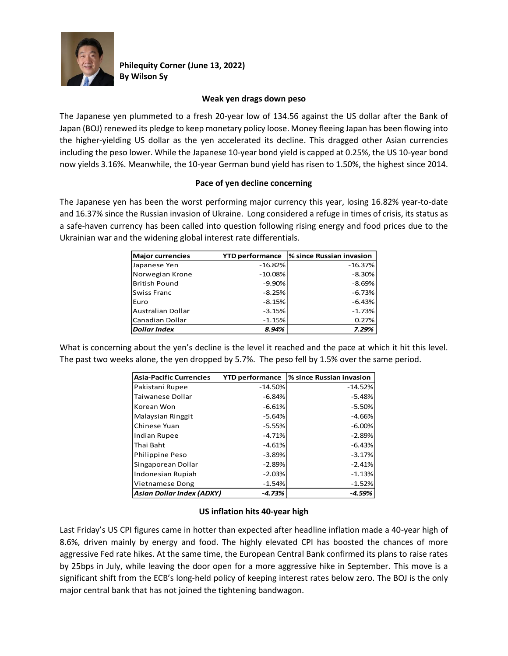

**Philequity Corner (June 13, 2022) By Wilson Sy**

# **Weak yen drags down peso**

The Japanese yen plummeted to a fresh 20-year low of 134.56 against the US dollar after the Bank of Japan (BOJ) renewed its pledge to keep monetary policy loose. Money fleeing Japan has been flowing into the higher-yielding US dollar as the yen accelerated its decline. This dragged other Asian currencies including the peso lower. While the Japanese 10-year bond yield is capped at 0.25%, the US 10-year bond now yields 3.16%. Meanwhile, the 10-year German bund yield has risen to 1.50%, the highest since 2014.

# **Pace of yen decline concerning**

The Japanese yen has been the worst performing major currency this year, losing 16.82% year-to-date and 16.37% since the Russian invasion of Ukraine. Long considered a refuge in times of crisis, its status as a safe-haven currency has been called into question following rising energy and food prices due to the Ukrainian war and the widening global interest rate differentials.

| <b>Major currencies</b> | <b>YTD performance</b> | % since Russian invasion |
|-------------------------|------------------------|--------------------------|
| Japanese Yen            | $-16.82%$              | $-16.37%$                |
| Norwegian Krone         | $-10.08%$              | $-8.30%$                 |
| <b>British Pound</b>    | $-9.90%$               | $-8.69%$                 |
| Swiss Franc             | $-8.25%$               | $-6.73%$                 |
| Euro                    | $-8.15%$               | $-6.43%$                 |
| Australian Dollar       | $-3.15%$               | $-1.73%$                 |
| Canadian Dollar         | $-1.15%$               | 0.27%                    |
| Dollar Index            | 8.94%                  | 7.29%                    |

What is concerning about the yen's decline is the level it reached and the pace at which it hit this level. The past two weeks alone, the yen dropped by 5.7%. The peso fell by 1.5% over the same period.

| <b>Asia-Pacific Currencies</b>   | <b>YTD performance</b> | % since Russian invasion |
|----------------------------------|------------------------|--------------------------|
| Pakistani Rupee                  | $-14.50%$              | $-14.52%$                |
| Taiwanese Dollar                 | $-6.84%$               | $-5.48%$                 |
| Korean Won                       | $-6.61%$               | $-5.50%$                 |
| Malaysian Ringgit                | $-5.64%$               | $-4.66%$                 |
| Chinese Yuan                     | $-5.55%$               | $-6.00%$                 |
| <b>Indian Rupee</b>              | $-4.71%$               | $-2.89%$                 |
| Thai Baht                        | $-4.61%$               | $-6.43%$                 |
| Philippine Peso                  | $-3.89%$               | $-3.17%$                 |
| Singaporean Dollar               | $-2.89%$               | $-2.41%$                 |
| Indonesian Rupiah                | $-2.03%$               | $-1.13%$                 |
| <b>Vietnamese Dong</b>           | $-1.54%$               | $-1.52%$                 |
| <b>Asian Dollar Index (ADXY)</b> | $-4.73%$               | $-4.59%$                 |

# **US inflation hits 40-year high**

Last Friday's US CPI figures came in hotter than expected after headline inflation made a 40-year high of 8.6%, driven mainly by energy and food. The highly elevated CPI has boosted the chances of more aggressive Fed rate hikes. At the same time, the European Central Bank confirmed its plans to raise rates by 25bps in July, while leaving the door open for a more aggressive hike in September. This move is a significant shift from the ECB's long-held policy of keeping interest rates below zero. The BOJ is the only major central bank that has not joined the tightening bandwagon.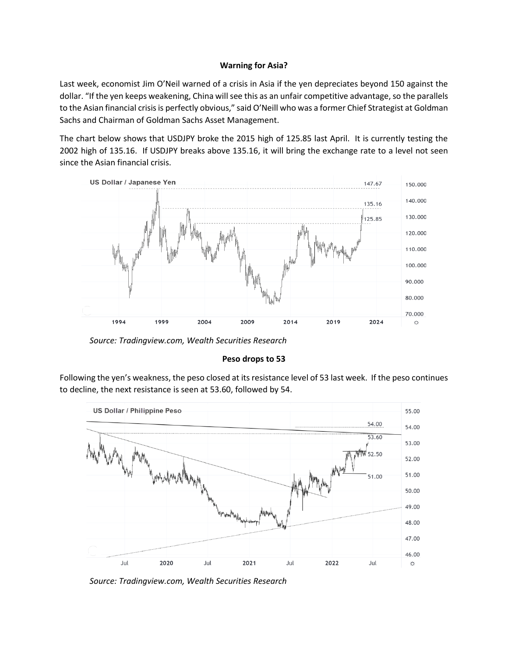## **Warning for Asia?**

Last week, economist Jim O'Neil warned of a crisis in Asia if the yen depreciates beyond 150 against the dollar. "If the yen keeps weakening, China will see this as an unfair competitive advantage, so the parallels to the Asian financial crisis is perfectly obvious," said O'Neill who was a former Chief Strategist at Goldman Sachs and Chairman of Goldman Sachs Asset Management.

The chart below shows that USDJPY broke the 2015 high of 125.85 last April. It is currently testing the 2002 high of 135.16. If USDJPY breaks above 135.16, it will bring the exchange rate to a level not seen since the Asian financial crisis.



*Source: Tradingview.com, Wealth Securities Research*

# **Peso drops to 53**

Following the yen's weakness, the peso closed at its resistance level of 53 last week. If the peso continues to decline, the next resistance is seen at 53.60, followed by 54.



*Source: Tradingview.com, Wealth Securities Research*